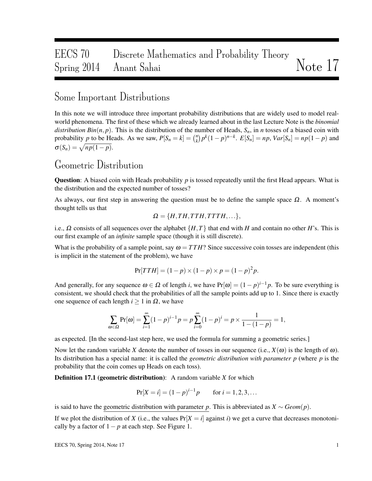# EECS 70 Discrete Mathematics and Probability Theory  $S_{\text{pring}}$  2014 Anant Sahai  $N_{\text{other}}$

#### Some Important Distributions

In this note we will introduce three important probability distributions that are widely used to model realworld phenomena. The first of these which we already learned about in the last Lecture Note is the *binomial distribution Bin*( $n, p$ ). This is the distribution of the number of Heads,  $S_n$ , in *n* tosses of a biased coin with probability *p* to be Heads. As we saw,  $P[S_n = k] = \binom{n}{k}$  $\binom{n}{k} p^k (1-p)^{n-k}$ .  $E[S_n] = np$ ,  $Var[S_n] = np(1-p)$  and  $\sigma(S_n) = \sqrt{np(1-p)}.$ 

#### Geometric Distribution

Question: A biased coin with Heads probability *p* is tossed repeatedly until the first Head appears. What is the distribution and the expected number of tosses?

As always, our first step in answering the question must be to define the sample space  $\Omega$ . A moment's thought tells us that

$$
\mathbf{\Omega} = \{H, TH, TTH, TTH, \ldots\},\
$$

i.e.,  $\Omega$  consists of all sequences over the alphabet  $\{H, T\}$  that end with *H* and contain no other *H*'s. This is our first example of an *infinite* sample space (though it is still discrete).

What is the probability of a sample point, say  $\omega = T T H$ ? Since successive coin tosses are independent (this is implicit in the statement of the problem), we have

$$
Pr[TTH] = (1 - p) \times (1 - p) \times p = (1 - p)^{2} p.
$$

And generally, for any sequence  $\omega \in \Omega$  of length *i*, we have  $Pr[\omega] = (1 - p)^{i-1}p$ . To be sure everything is consistent, we should check that the probabilities of all the sample points add up to 1. Since there is exactly one sequence of each length *i* ≥ 1 in Ω, we have

$$
\sum_{\omega \in \Omega} \Pr[\omega] = \sum_{i=1}^{\infty} (1-p)^{i-1} p = p \sum_{i=0}^{\infty} (1-p)^{i} = p \times \frac{1}{1 - (1-p)} = 1,
$$

as expected. [In the second-last step here, we used the formula for summing a geometric series.]

Now let the random variable *X* denote the number of tosses in our sequence (i.e.,  $X(\omega)$ ) is the length of  $\omega$ ). Its distribution has a special name: it is called the *geometric distribution with parameter p* (where *p* is the probability that the coin comes up Heads on each toss).

Definition 17.1 (geometric distribution): A random variable *X* for which

$$
Pr[X = i] = (1 - p)^{i-1}p \quad \text{for } i = 1, 2, 3, \dots
$$

is said to have the geometric distribution with parameter *p*. This is abbreviated as  $X \sim Geom(p)$ .

If we plot the distribution of *X* (i.e., the values  $Pr[X = i]$  against *i*) we get a curve that decreases monotonically by a factor of  $1-p$  at each step. See Figure 1.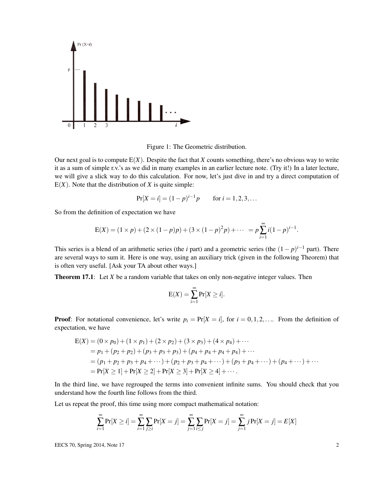

Figure 1: The Geometric distribution.

Our next goal is to compute  $E(X)$ . Despite the fact that X counts something, there's no obvious way to write it as a sum of simple r.v.'s as we did in many examples in an earlier lecture note. (Try it!) In a later lecture, we will give a slick way to do this calculation. For now, let's just dive in and try a direct computation of  $E(X)$ . Note that the distribution of *X* is quite simple:

$$
Pr[X = i] = (1 - p)^{i-1}p \quad \text{for } i = 1, 2, 3, \dots
$$

So from the definition of expectation we have

$$
E(X) = (1 \times p) + (2 \times (1 - p)p) + (3 \times (1 - p)^{2}p) + \cdots = p \sum_{i=1}^{\infty} i(1 - p)^{i-1}.
$$

This series is a blend of an arithmetic series (the *i* part) and a geometric series (the  $(1-p)^{i-1}$  part). There are several ways to sum it. Here is one way, using an auxiliary trick (given in the following Theorem) that is often very useful. [Ask your TA about other ways.]

**Theorem 17.1:** Let *X* be a random variable that takes on only non-negative integer values. Then

$$
E(X) = \sum_{i=1}^{\infty} Pr[X \geq i].
$$

**Proof:** For notational convenience, let's write  $p_i = Pr[X = i]$ , for  $i = 0, 1, 2, \ldots$ . From the definition of expectation, we have

$$
E(X) = (0 \times p_0) + (1 \times p_1) + (2 \times p_2) + (3 \times p_3) + (4 \times p_4) + \cdots
$$
  
=  $p_1 + (p_2 + p_2) + (p_3 + p_3 + p_3) + (p_4 + p_4 + p_4) + \cdots$   
=  $(p_1 + p_2 + p_3 + p_4 + \cdots) + (p_2 + p_3 + p_4 + \cdots) + (p_3 + p_4 + \cdots) + (p_4 + \cdots) + \cdots$   
=  $Pr[X \ge 1] + Pr[X \ge 2] + Pr[X \ge 3] + Pr[X \ge 4] + \cdots$ 

In the third line, we have regrouped the terms into convenient infinite sums. You should check that you understand how the fourth line follows from the third.

Let us repeat the proof, this time using more compact mathematical notation:

$$
\sum_{i=1}^{\infty} \Pr[X \ge i] = \sum_{i=1}^{\infty} \sum_{j \ge i} \Pr[X = j] = \sum_{j=1}^{\infty} \sum_{i \le j} \Pr[X = j] = \sum_{j=1}^{\infty} j \Pr[X = j] = E[X]
$$

EECS 70, Spring 2014, Note 17 2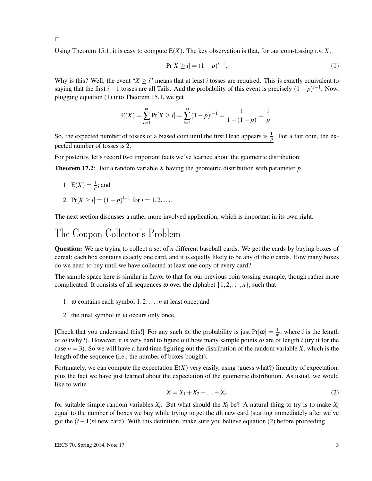$\Box$ 

Using Theorem 15.1, it is easy to compute  $E(X)$ . The key observation is that, for our coin-tossing r.v.  $X$ ,

$$
\Pr[X \ge i] = (1 - p)^{i - 1}.\tag{1}
$$

Why is this? Well, the event " $X \ge i$ " means that at least *i* tosses are required. This is exactly equivalent to saying that the first *i*−1 tosses are all Tails. And the probability of this event is precisely  $(1-p)^{i-1}$ . Now, plugging equation (1) into Theorem 15.1, we get

$$
E(X) = \sum_{i=1}^{\infty} Pr[X \ge i] = \sum_{i=1}^{\infty} (1-p)^{i-1} = \frac{1}{1 - (1-p)} = \frac{1}{p}.
$$

So, the expected number of tosses of a biased coin until the first Head appears is  $\frac{1}{p}$ . For a fair coin, the expected number of tosses is 2.

For posterity, let's record two important facts we've learned about the geometric distribution:

Theorem 17.2: For a random variable *X* having the geometric distribution with parameter *p*,

- 1.  $E(X) = \frac{1}{p}$ ; and
- 2.  $Pr[X \ge i] = (1 p)^{i-1}$  for  $i = 1, 2, \ldots$

The next section discusses a rather more involved application, which is important in its own right.

## The Coupon Collector's Problem

Question: We are trying to collect a set of *n* different baseball cards. We get the cards by buying boxes of cereal: each box contains exactly one card, and it is equally likely to be any of the *n* cards. How many boxes do we need to buy until we have collected at least one copy of every card?

The sample space here is similar in flavor to that for our previous coin-tossing example, though rather more complicated. It consists of all sequences  $\omega$  over the alphabet  $\{1,2,\ldots,n\}$ , such that

- 1.  $\omega$  contains each symbol  $1, 2, \ldots, n$  at least once; and
- 2. the final symbol in  $\omega$  occurs only once.

[Check that you understand this!] For any such  $\omega$ , the probability is just  $Pr[\omega] = \frac{1}{n^i}$ , where *i* is the length of  $\omega$  (why?). However, it is very hard to figure out how many sample points  $\omega$  are of length *i* (try it for the case  $n = 3$ ). So we will have a hard time figuring out the distribution of the random variable *X*, which is the length of the sequence (i.e., the number of boxes bought).

Fortunately, we can compute the expectation  $E(X)$  very easily, using (guess what?) linearity of expectation, plus the fact we have just learned about the expectation of the geometric distribution. As usual, we would like to write

$$
X = X_1 + X_2 + \ldots + X_n \tag{2}
$$

for suitable simple random variables  $X_i$ . But what should the  $X_i$  be? A natural thing to try is to make  $X_i$ equal to the number of boxes we buy while trying to get the *i*th new card (starting immediately after we've got the  $(i-1)$ st new card). With this definition, make sure you believe equation (2) before proceeding.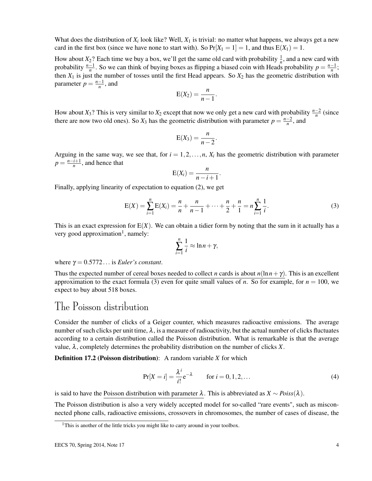What does the distribution of  $X_i$  look like? Well,  $X_1$  is trivial: no matter what happens, we always get a new card in the first box (since we have none to start with). So  $Pr[X_1 = 1] = 1$ , and thus  $E(X_1) = 1$ .

How about  $X_2$ ? Each time we buy a box, we'll get the same old card with probability  $\frac{1}{n}$ , and a new card with probability  $\frac{n-1}{n}$ . So we can think of buying boxes as flipping a biased coin with Heads probability  $p = \frac{n-1}{n}$ ; then  $X_1$  is just the number of tosses until the first Head appears. So  $X_2$  has the geometric distribution with parameter  $p = \frac{n-1}{n}$ , and

$$
E(X_2) = \frac{n}{n-1}
$$

.

How about *X*<sub>3</sub>? This is very similar to *X*<sub>2</sub> except that now we only get a new card with probability  $\frac{n-2}{n}$  (since there are now two old ones). So  $X_3$  has the geometric distribution with parameter  $p = \frac{n-2}{n}$ , and

$$
E(X_3)=\frac{n}{n-2}.
$$

Arguing in the same way, we see that, for  $i = 1, 2, \ldots, n$ ,  $X_i$  has the geometric distribution with parameter  $p = \frac{n-i+1}{n}$ , and hence that

$$
E(X_i) = \frac{n}{n-i+1}.
$$

Finally, applying linearity of expectation to equation (2), we get

$$
E(X) = \sum_{i=1}^{n} E(X_i) = \frac{n}{n} + \frac{n}{n-1} + \dots + \frac{n}{2} + \frac{n}{1} = n \sum_{i=1}^{n} \frac{1}{i}.
$$
 (3)

This is an exact expression for  $E(X)$ . We can obtain a tidier form by noting that the sum in it actually has a very good approximation<sup>1</sup>, namely:

$$
\sum_{i=1}^n \frac{1}{i} \approx \ln n + \gamma,
$$

where  $\gamma = 0.5772...$  is *Euler's constant*.

Thus the expected number of cereal boxes needed to collect *n* cards is about  $n(\ln n + \gamma)$ . This is an excellent approximation to the exact formula (3) even for quite small values of *n*. So for example, for  $n = 100$ , we expect to buy about 518 boxes.

#### The Poisson distribution

Consider the number of clicks of a Geiger counter, which measures radioactive emissions. The average number of such clicks per unit time,  $\lambda$ , is a measure of radioactivity, but the actual number of clicks fluctuates according to a certain distribution called the Poisson distribution. What is remarkable is that the average value,  $\lambda$ , completely determines the probability distribution on the number of clicks *X*.

Definition 17.2 (Poisson distribution): A random variable *X* for which

$$
Pr[X = i] = \frac{\lambda^{i}}{i!} e^{-\lambda} \qquad \text{for } i = 0, 1, 2, \dots
$$
 (4)

is said to have the Poisson distribution with parameter  $\lambda$ . This is abbreviated as  $X \sim Poiss(\lambda)$ .

The Poisson distribution is also a very widely accepted model for so-called "rare events", such as misconnected phone calls, radioactive emissions, crossovers in chromosomes, the number of cases of disease, the

<sup>&</sup>lt;sup>1</sup>This is another of the little tricks you might like to carry around in your toolbox.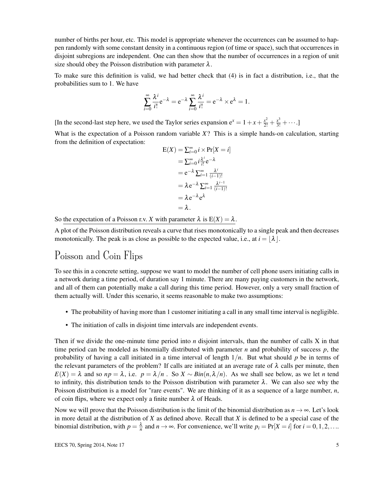number of births per hour, etc. This model is appropriate whenever the occurrences can be assumed to happen randomly with some constant density in a continuous region (of time or space), such that occurrences in disjoint subregions are independent. One can then show that the number of occurrences in a region of unit size should obey the Poisson distribution with parameter  $\lambda$ .

To make sure this definition is valid, we had better check that (4) is in fact a distribution, i.e., that the probabilities sum to 1. We have

$$
\sum_{i=0}^{\infty} \frac{\lambda^i}{i!} e^{-\lambda} = e^{-\lambda} \sum_{i=0}^{\infty} \frac{\lambda^i}{i!} = e^{-\lambda} \times e^{\lambda} = 1.
$$

[In the second-last step here, we used the Taylor series expansion  $e^x = 1 + x + \frac{x^2}{2!} + \frac{x^3}{3!} + \cdots$ ]

What is the expectation of a Poisson random variable *X*? This is a simple hands-on calculation, starting from the definition of expectation:

$$
E(X) = \sum_{i=0}^{\infty} i \times Pr[X = i]
$$
  
=  $\sum_{i=0}^{\infty} i \frac{\lambda^{i}}{i!} e^{-\lambda}$   
=  $e^{-\lambda} \sum_{i=1}^{\infty} \frac{\lambda^{i}}{(i-1)!}$   
=  $\lambda e^{-\lambda} \sum_{i=1}^{\infty} \frac{\lambda^{i-1}}{(i-1)!}$   
=  $\lambda e^{-\lambda} e^{\lambda}$   
=  $\lambda$ .

So the expectation of a Poisson r.v. *X* with parameter  $\lambda$  is  $E(X) = \lambda$ .

A plot of the Poisson distribution reveals a curve that rises monotonically to a single peak and then decreases monotonically. The peak is as close as possible to the expected value, i.e., at  $i = |\lambda|$ .

## Poisson and Coin Flips

To see this in a concrete setting, suppose we want to model the number of cell phone users initiating calls in a network during a time period, of duration say 1 minute. There are many paying customers in the network, and all of them can potentially make a call during this time period. However, only a very small fraction of them actually will. Under this scenario, it seems reasonable to make two assumptions:

- The probability of having more than 1 customer initiating a call in any small time interval is negligible.
- The initiation of calls in disjoint time intervals are independent events.

Then if we divide the one-minute time period into *n* disjoint intervals, than the number of calls X in that time period can be modeled as binomially distributed with parameter *n* and probability of success *p*, the probability of having a call initiated in a time interval of length 1/*n*. But what should *p* be in terms of the relevant parameters of the problem? If calls are initiated at an average rate of  $\lambda$  calls per minute, then  $E(X) = \lambda$  and so  $np = \lambda$ , i.e.  $p = \lambda/n$ . So  $X \sim Bin(n, \lambda/n)$ . As we shall see below, as we let *n* tend to infinity, this distribution tends to the Poisson distribution with parameter  $\lambda$ . We can also see why the Poisson distribution is a model for "rare events". We are thinking of it as a sequence of a large number, *n*, of coin flips, where we expect only a finite number  $\lambda$  of Heads.

Now we will prove that the Poisson distribution is the limit of the binomial distribution as  $n \to \infty$ . Let's look in more detail at the distribution of *X* as defined above. Recall that *X* is defined to be a special case of the binomial distribution, with  $p = \frac{\lambda}{n}$  and  $n \to \infty$ . For convenience, we'll write  $p_i = Pr[X = i]$  for  $i = 0, 1, 2, \ldots$